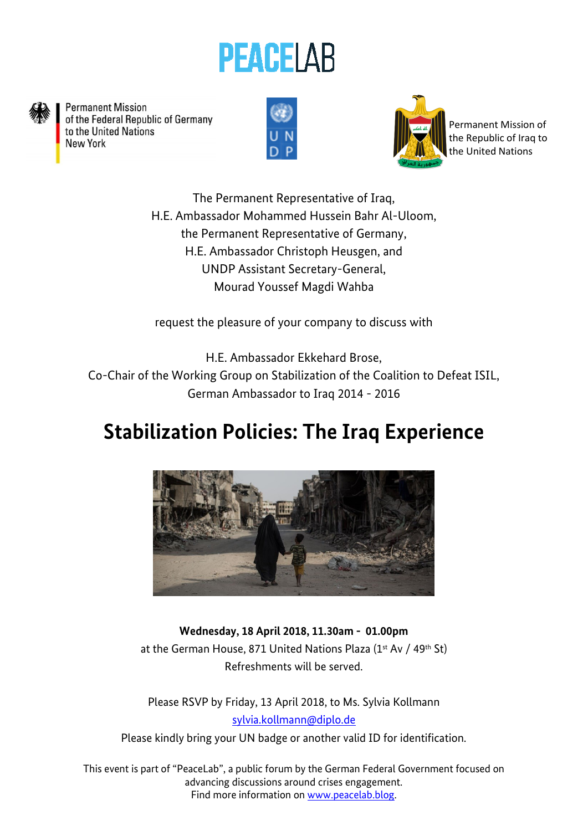



**Permanent Mission** of the Federal Republic of Germany to the United Nations New York





Permanent Mission of the Republic of Iraq to the United Nations

The Permanent Representative of Iraq, H.E. Ambassador Mohammed Hussein Bahr Al-Uloom, the Permanent Representative of Germany, H.E. Ambassador Christoph Heusgen, and UNDP Assistant Secretary-General, Mourad Youssef Magdi Wahba

request the pleasure of your company to discuss with

H.E. Ambassador Ekkehard Brose, Co-Chair of the Working Group on Stabilization of the Coalition to Defeat ISIL, German Ambassador to Iraq 2014 - 2016

## **Stabilization Policies: The Iraq Experience**



**Wednesday, 18 April 2018, 11.30am - 01.00pm**  at the German House, 871 United Nations Plaza (1st Av / 49th St) Refreshments will be served.

Please RSVP by Friday, 13 April 2018, to Ms. Sylvia Kollmann [sylvia.kollmann@diplo.de](mailto:sylvia.kollmann@diplo.de)

Please kindly bring your UN badge or another valid ID for identification.

This event is part of "PeaceLab", a public forum by the German Federal Government focused on advancing discussions around crises engagement. Find more information on [www.peacelab.blog.](http://www.peacelab.blog/)